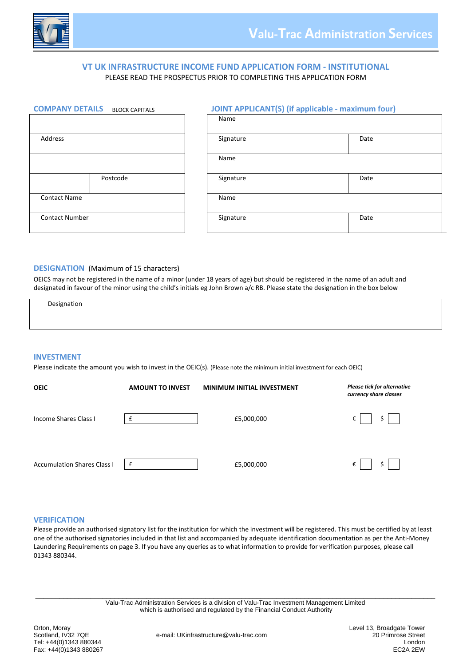

## **VT UK INFRASTRUCTURE INCOME FUND APPLICATION FORM ‐ INSTITUTIONAL** PLEASE READ THE PROSPECTUS PRIOR TO COMPLETING THIS APPLICATION FORM

| <b>COMPANY DETAILS</b> | <b>BLOCK CAPITALS</b> | JО<br>IT . |
|------------------------|-----------------------|------------|
|                        |                       | Name       |
|                        |                       |            |
| Address                |                       | Signat     |
|                        |                       |            |
|                        |                       | Name       |
|                        |                       |            |
|                        | Postcode              | Signat     |
|                        |                       |            |
| <b>Contact Name</b>    |                       | Name       |
|                        |                       |            |
| <b>Contact Number</b>  |                       | Signat     |
|                        |                       |            |

# **COMPANY DETAILS** BLOCK CAPITALS **JOINT APPLICANT(S) (if applicable ‐ maximum four)** Name Address Signature Date Postcode Signature Date Date Date ( Postcode ) Signature ( Signature ) Date Contact Number **Signature Signature** Contact Number Date

#### **DESIGNATION** (Maximum of 15 characters)

OEICS may not be registered in the name of a minor (under 18 years of age) but should be registered in the name of an adult and designated in favour of the minor using the child's initials eg John Brown a/c RB. Please state the designation in the box below

**Designation**<br> **Designation** 

#### **INVESTMENT**

Please indicate the amount you wish to invest in the OEIC(s). (Please note the minimum initial investment for each OEIC)

| <b>OEIC</b>                        | <b>AMOUNT TO INVEST</b> | <b>MINIMUM INITIAL INVESTMENT</b> | Please tick for alternative<br>currency share classes |
|------------------------------------|-------------------------|-----------------------------------|-------------------------------------------------------|
| <b>Income Shares Class I</b>       |                         | £5,000,000                        | \$<br>€                                               |
| <b>Accumulation Shares Class I</b> | £                       | £5,000,000                        | $\frac{1}{2}$<br><b>Contract Contract Street</b><br>€ |

#### **VERIFICATION**

Please provide an authorised signatory list for the institution for which the investment will be registered. This must be certified by at least one of the authorised signatories included in that list and accompanied by adequate identification documentation as per the Anti‐Money Laundering Requirements on page 3. If you have any queries as to what information to provide for verification purposes, please call 01343 880344.

\_\_\_\_\_\_\_\_\_\_\_\_\_\_\_\_\_\_\_\_\_\_\_\_\_\_\_\_\_\_\_\_\_\_\_\_\_\_\_\_\_\_\_\_\_\_\_\_\_\_\_\_\_\_\_\_\_\_\_\_\_\_\_\_\_\_\_\_\_\_\_\_\_\_\_\_\_\_\_\_\_\_\_\_\_\_\_\_\_\_\_\_\_\_\_\_\_\_\_\_\_ Valu-Trac Administration Services is a division of Valu-Trac Investment Management Limited which is authorised and regulated by the Financial Conduct Authority

Orton, Moray Chron, Moray Chron, Moray Chron, Moray Chron, Moray Chron, Moray Chron, 20 Primrose Street<br>Scotland, IV32 7QE Chronic Chronic Chronic Chronic Chronic Chronic Chronic Chronic Chronic Chronic Chronic Chr Fax: +44(0)1343 880267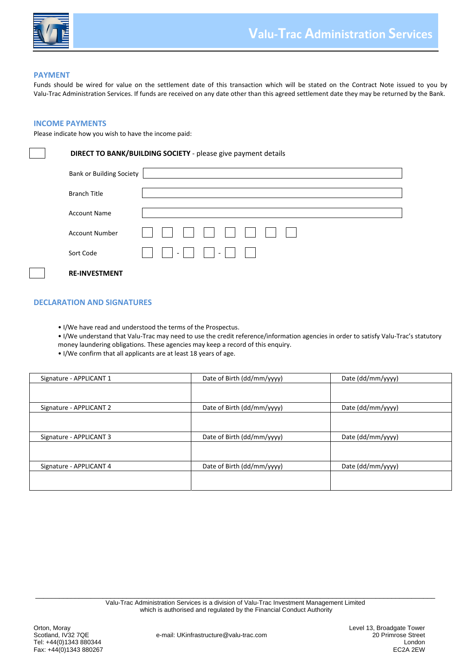

#### **PAYMENT**

Funds should be wired for value on the settlement date of this transaction which will be stated on the Contract Note issued to you by Valu‐Trac Administration Services. If funds are received on any date other than this agreed settlement date they may be returned by the Bank.

#### **INCOME PAYMENTS**

Please indicate how you wish to have the income paid:

#### **DIRECT TO BANK/BUILDING SOCIETY** ‐ please give payment details

| <b>Bank or Building Society</b> |                                 |
|---------------------------------|---------------------------------|
| <b>Branch Title</b>             |                                 |
| <b>Account Name</b>             |                                 |
|                                 |                                 |
| <b>Account Number</b>           | , , , , , , , , , , , , , , , , |
| Sort Code                       |                                 |
| <b>RE-INVESTMENT</b>            |                                 |

#### **DECLARATION AND SIGNATURES**

- I/We have read and understood the terms of the Prospectus.
- I/We understand that Valu‐Trac may need to use the credit reference/information agencies in order to satisfy Valu‐Trac's statutory
- money laundering obligations. These agencies may keep a record of this enquiry.
- I/We confirm that all applicants are at least 18 years of age.

| Signature - APPLICANT 1 | Date of Birth (dd/mm/yyyy) | Date (dd/mm/yyyy) |
|-------------------------|----------------------------|-------------------|
|                         |                            |                   |
| Signature - APPLICANT 2 | Date of Birth (dd/mm/yyyy) | Date (dd/mm/yyyy) |
|                         |                            |                   |
| Signature - APPLICANT 3 | Date of Birth (dd/mm/yyyy) | Date (dd/mm/yyyy) |
|                         |                            |                   |
| Signature - APPLICANT 4 | Date of Birth (dd/mm/yyyy) | Date (dd/mm/yyyy) |
|                         |                            |                   |
|                         |                            |                   |